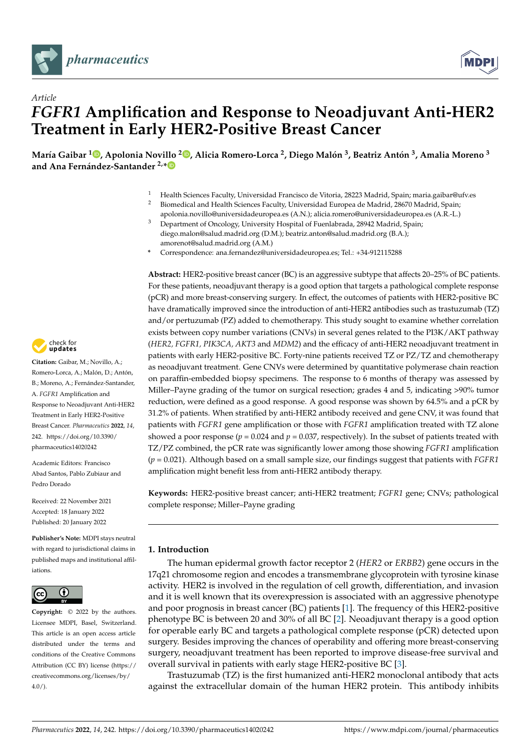



# *Article FGFR1* **Amplification and Response to Neoadjuvant Anti-HER2 Treatment in Early HER2-Positive Breast Cancer**

María Gaibar <sup>1</sup>®[,](https://orcid.org/0000-0003-0902-0991) Apolonia Novillo <sup>2</sup>®, Alicia Romero-Lorca <sup>2</sup>, Diego Malón <sup>3</sup>, Beatriz Antón <sup>3</sup>, Amalia Moreno <sup>3</sup> **and Ana Fernández-Santander 2,[\\*](https://orcid.org/0000-0001-7545-1170)**

- <sup>1</sup> Health Sciences Faculty, Universidad Francisco de Vitoria, 28223 Madrid, Spain; maria.gaibar@ufv.es
- <sup>2</sup> Biomedical and Health Sciences Faculty, Universidad Europea de Madrid, 28670 Madrid, Spain; apolonia.novillo@universidadeuropea.es (A.N.); alicia.romero@universidadeuropea.es (A.R.-L.)
- <sup>3</sup> Department of Oncology, University Hospital of Fuenlabrada, 28942 Madrid, Spain; diego.malon@salud.madrid.org (D.M.); beatriz.anton@salud.madrid.org (B.A.); amorenot@salud.madrid.org (A.M.)
- **\*** Correspondence: ana.fernandez@universidadeuropea.es; Tel.: +34-912115288

**Abstract:** HER2-positive breast cancer (BC) is an aggressive subtype that affects 20–25% of BC patients. For these patients, neoadjuvant therapy is a good option that targets a pathological complete response (pCR) and more breast-conserving surgery. In effect, the outcomes of patients with HER2-positive BC have dramatically improved since the introduction of anti-HER2 antibodies such as trastuzumab (TZ) and/or pertuzumab (PZ) added to chemotherapy. This study sought to examine whether correlation exists between copy number variations (CNVs) in several genes related to the PI3K/AKT pathway (*HER2, FGFR1, PIK3CA, AKT3* and *MDM2*) and the efficacy of anti-HER2 neoadjuvant treatment in patients with early HER2-positive BC. Forty-nine patients received TZ or PZ/TZ and chemotherapy as neoadjuvant treatment. Gene CNVs were determined by quantitative polymerase chain reaction on paraffin-embedded biopsy specimens. The response to 6 months of therapy was assessed by Miller–Payne grading of the tumor on surgical resection; grades 4 and 5, indicating >90% tumor reduction, were defined as a good response. A good response was shown by 64.5% and a pCR by 31.2% of patients. When stratified by anti-HER2 antibody received and gene CNV, it was found that patients with *FGFR1* gene amplification or those with *FGFR1* amplification treated with TZ alone showed a poor response ( $p = 0.024$  and  $p = 0.037$ , respectively). In the subset of patients treated with TZ/PZ combined, the pCR rate was significantly lower among those showing *FGFR1* amplification (*p* = 0.021). Although based on a small sample size, our findings suggest that patients with *FGFR1* amplification might benefit less from anti-HER2 antibody therapy.

**Keywords:** HER2-positive breast cancer; anti-HER2 treatment; *FGFR1* gene; CNVs; pathological complete response; Miller–Payne grading

# **1. Introduction**

The human epidermal growth factor receptor 2 (*HER2* or *ERBB2*) gene occurs in the 17q21 chromosome region and encodes a transmembrane glycoprotein with tyrosine kinase activity. HER2 is involved in the regulation of cell growth, differentiation, and invasion and it is well known that its overexpression is associated with an aggressive phenotype and poor prognosis in breast cancer (BC) patients [\[1\]](#page-7-0). The frequency of this HER2-positive phenotype BC is between 20 and 30% of all BC [\[2\]](#page-7-1). Neoadjuvant therapy is a good option for operable early BC and targets a pathological complete response (pCR) detected upon surgery. Besides improving the chances of operability and offering more breast-conserving surgery, neoadjuvant treatment has been reported to improve disease-free survival and overall survival in patients with early stage HER2-positive BC [\[3\]](#page-7-2).

Trastuzumab (TZ) is the first humanized anti-HER2 monoclonal antibody that acts against the extracellular domain of the human HER2 protein. This antibody inhibits



**Citation:** Gaibar, M.; Novillo, A.; Romero-Lorca, A.; Malón, D.; Antón, B.; Moreno, A.; Fernández-Santander, A. *FGFR1* Amplification and Response to Neoadjuvant Anti-HER2 Treatment in Early HER2-Positive Breast Cancer. *Pharmaceutics* **2022**, *14*, 242. [https://doi.org/10.3390/](https://doi.org/10.3390/pharmaceutics14020242) [pharmaceutics14020242](https://doi.org/10.3390/pharmaceutics14020242)

Academic Editors: Francisco Abad Santos, Pablo Zubiaur and Pedro Dorado

Received: 22 November 2021 Accepted: 18 January 2022 Published: 20 January 2022

**Publisher's Note:** MDPI stays neutral with regard to jurisdictional claims in published maps and institutional affiliations.



**Copyright:** © 2022 by the authors. Licensee MDPI, Basel, Switzerland. This article is an open access article distributed under the terms and conditions of the Creative Commons Attribution (CC BY) license [\(https://](https://creativecommons.org/licenses/by/4.0/) [creativecommons.org/licenses/by/](https://creativecommons.org/licenses/by/4.0/)  $4.0/$ ).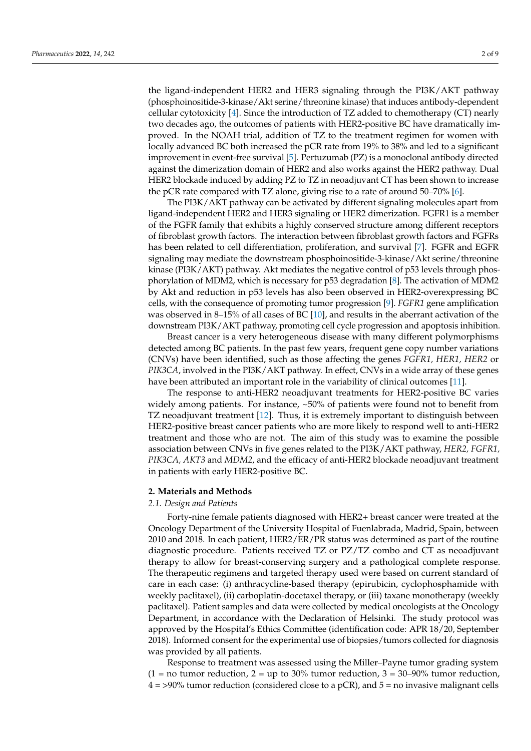the ligand-independent HER2 and HER3 signaling through the PI3K/AKT pathway (phosphoinositide-3-kinase/Akt serine/threonine kinase) that induces antibody-dependent cellular cytotoxicity [\[4\]](#page-7-3). Since the introduction of TZ added to chemotherapy (CT) nearly two decades ago, the outcomes of patients with HER2-positive BC have dramatically improved. In the NOAH trial, addition of TZ to the treatment regimen for women with locally advanced BC both increased the pCR rate from 19% to 38% and led to a significant improvement in event-free survival [\[5\]](#page-7-4). Pertuzumab (PZ) is a monoclonal antibody directed against the dimerization domain of HER2 and also works against the HER2 pathway. Dual HER2 blockade induced by adding PZ to TZ in neoadjuvant CT has been shown to increase the pCR rate compared with TZ alone, giving rise to a rate of around 50–70% [\[6\]](#page-7-5).

The PI3K/AKT pathway can be activated by different signaling molecules apart from ligand-independent HER2 and HER3 signaling or HER2 dimerization. FGFR1 is a member of the FGFR family that exhibits a highly conserved structure among different receptors of fibroblast growth factors. The interaction between fibroblast growth factors and FGFRs has been related to cell differentiation, proliferation, and survival [\[7\]](#page-7-6). FGFR and EGFR signaling may mediate the downstream phosphoinositide-3-kinase/Akt serine/threonine kinase (PI3K/AKT) pathway. Akt mediates the negative control of p53 levels through phosphorylation of MDM2, which is necessary for p53 degradation [\[8\]](#page-7-7). The activation of MDM2 by Akt and reduction in p53 levels has also been observed in HER2-overexpressing BC cells, with the consequence of promoting tumor progression [\[9\]](#page-7-8). *FGFR1* gene amplification was observed in 8–15% of all cases of BC [\[10\]](#page-7-9), and results in the aberrant activation of the downstream PI3K/AKT pathway, promoting cell cycle progression and apoptosis inhibition.

Breast cancer is a very heterogeneous disease with many different polymorphisms detected among BC patients. In the past few years, frequent gene copy number variations (CNVs) have been identified, such as those affecting the genes *FGFR1, HER1, HER2* or *PIK3CA*, involved in the PI3K/AKT pathway. In effect, CNVs in a wide array of these genes have been attributed an important role in the variability of clinical outcomes [\[11\]](#page-7-10).

The response to anti-HER2 neoadjuvant treatments for HER2-positive BC varies widely among patients. For instance, ~50% of patients were found not to benefit from TZ neoadjuvant treatment [\[12\]](#page-7-11). Thus, it is extremely important to distinguish between HER2-positive breast cancer patients who are more likely to respond well to anti-HER2 treatment and those who are not. The aim of this study was to examine the possible association between CNVs in five genes related to the PI3K/AKT pathway, *HER2, FGFR1, PIK3CA, AKT3* and *MDM2*, and the efficacy of anti-HER2 blockade neoadjuvant treatment in patients with early HER2-positive BC.

## **2. Materials and Methods**

## *2.1. Design and Patients*

Forty-nine female patients diagnosed with HER2+ breast cancer were treated at the Oncology Department of the University Hospital of Fuenlabrada, Madrid, Spain, between 2010 and 2018. In each patient, HER2/ER/PR status was determined as part of the routine diagnostic procedure. Patients received TZ or PZ/TZ combo and CT as neoadjuvant therapy to allow for breast-conserving surgery and a pathological complete response. The therapeutic regimens and targeted therapy used were based on current standard of care in each case: (i) anthracycline-based therapy (epirubicin, cyclophosphamide with weekly paclitaxel), (ii) carboplatin-docetaxel therapy, or (iii) taxane monotherapy (weekly paclitaxel). Patient samples and data were collected by medical oncologists at the Oncology Department, in accordance with the Declaration of Helsinki. The study protocol was approved by the Hospital's Ethics Committee (identification code: APR 18/20, September 2018). Informed consent for the experimental use of biopsies/tumors collected for diagnosis was provided by all patients.

Response to treatment was assessed using the Miller–Payne tumor grading system  $(1 = no$  tumor reduction,  $2 = up$  to 30% tumor reduction,  $3 = 30-90%$  tumor reduction,  $4 = 90\%$  tumor reduction (considered close to a pCR), and  $5 =$  no invasive malignant cells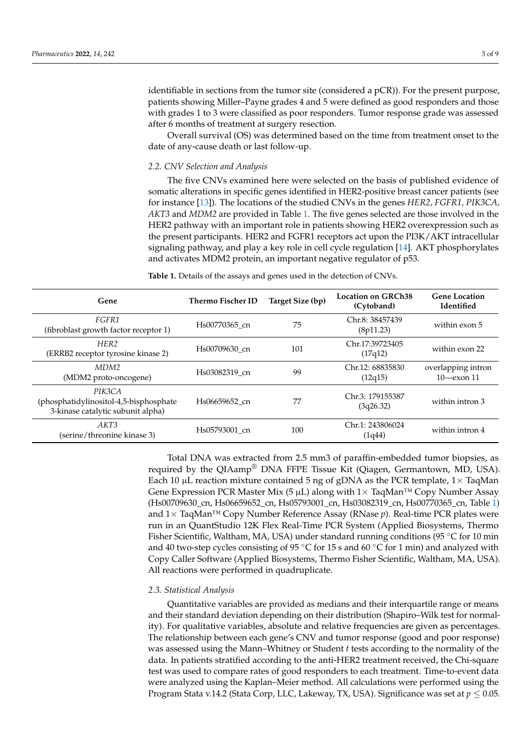identifiable in sections from the tumor site (considered a pCR)). For the present purpose, patients showing Miller–Payne grades 4 and 5 were defined as good responders and those with grades 1 to 3 were classified as poor responders. Tumor response grade was assessed after 6 months of treatment at surgery resection.

Overall survival (OS) was determined based on the time from treatment onset to the date of any-cause death or last follow-up.

#### *2.2. CNV Selection and Analysis*

The five CNVs examined here were selected on the basis of published evidence of somatic alterations in specific genes identified in HER2-positive breast cancer patients (see for instance [\[13\]](#page-7-12)). The locations of the studied CNVs in the genes *HER2, FGFR1, PIK3CA, AKT3* and *MDM2* are provided in Table [1.](#page-2-0) The five genes selected are those involved in the HER2 pathway with an important role in patients showing HER2 overexpression such as the present participants. HER2 and FGFR1 receptors act upon the PI3K/AKT intracellular signaling pathway, and play a key role in cell cycle regulation [\[14\]](#page-7-13). AKT phosphorylates and activates MDM2 protein, an important negative regulator of p53.

<span id="page-2-0"></span>**Table 1.** Details of the assays and genes used in the detection of CNVs.

| Gene                                                                                   | Thermo Fischer ID | Target Size (bp) | Location on GRCh38<br>(Cytoband) | <b>Gene Location</b><br>Identified     |
|----------------------------------------------------------------------------------------|-------------------|------------------|----------------------------------|----------------------------------------|
| FGFR1<br>(fibroblast growth factor receptor 1)                                         | Hs00770365 cn     | 75               | Chr.8: 38457439<br>(8p11.23)     | within exon 5                          |
| HER <sub>2</sub><br>(ERRB2 receptor tyrosine kinase 2)                                 | Hs00709630 cn     | 101              | Chr.17:39723405<br>(17q12)       | within exon 22                         |
| MDM <sub>2</sub><br>(MDM2 proto-oncogene)                                              | Hs03082319 cn     | 99               | Chr.12: 68835830<br>(12q15)      | overlapping intron<br>$10$ - $exon 11$ |
| PIK3CA<br>(phosphatidylinositol-4,5-bisphosphate)<br>3-kinase catalytic subunit alpha) | Hs06659652 cn     | 77               | Chr.3: 179155387<br>(3q26.32)    | within intron 3                        |
| AKT3<br>(serine/threonine kinase 3)                                                    | Hs05793001 cn     | 100              | Chr.1: 243806024<br>(1q44)       | within intron 4                        |

Total DNA was extracted from 2.5 mm3 of paraffin-embedded tumor biopsies, as required by the QIAamp® DNA FFPE Tissue Kit (Qiagen, Germantown, MD, USA). Each 10  $\mu$ L reaction mixture contained 5 ng of gDNA as the PCR template, 1 $\times$  TaqMan Gene Expression PCR Master Mix (5  $\mu$ L) along with 1× TaqMan<sup>TM</sup> Copy Number Assay (Hs00709630\_cn, Hs06659652\_cn, Hs05793001\_cn, Hs03082319\_cn, Hs00770365\_cn, Table [1\)](#page-2-0) and 1× TaqMan™ Copy Number Reference Assay (RNase *p*). Real-time PCR plates were run in an QuantStudio 12K Flex Real-Time PCR System (Applied Biosystems, Thermo Fisher Scientific, Waltham, MA, USA) under standard running conditions (95 ◦C for 10 min and 40 two-step cycles consisting of 95  $\degree$ C for 15 s and 60  $\degree$ C for 1 min) and analyzed with Copy Caller Software (Applied Biosystems, Thermo Fisher Scientific, Waltham, MA, USA). All reactions were performed in quadruplicate.

### *2.3. Statistical Analysis*

Quantitative variables are provided as medians and their interquartile range or means and their standard deviation depending on their distribution (Shapiro–Wilk test for normality). For qualitative variables, absolute and relative frequencies are given as percentages. The relationship between each gene's CNV and tumor response (good and poor response) was assessed using the Mann–Whitney or Student *t* tests according to the normality of the data. In patients stratified according to the anti-HER2 treatment received, the Chi-square test was used to compare rates of good responders to each treatment. Time-to-event data were analyzed using the Kaplan–Meier method. All calculations were performed using the Program Stata v.14.2 (Stata Corp, LLC, Lakeway, TX, USA). Significance was set at *p* ≤ 0.05.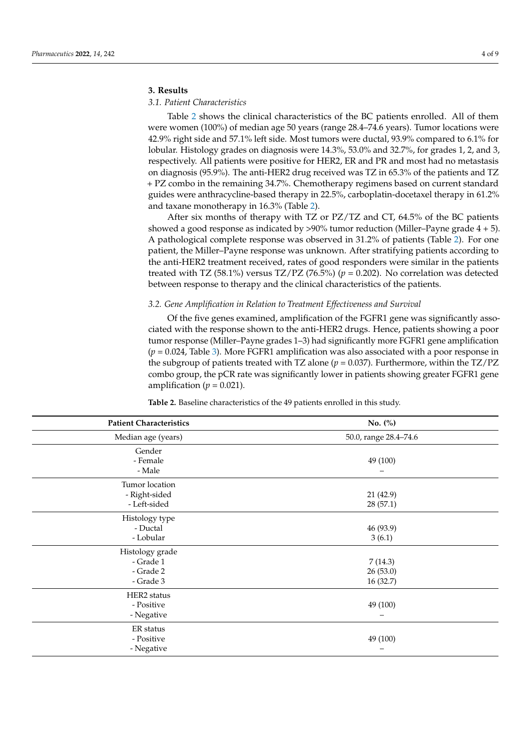# **3. Results**

## *3.1. Patient Characteristics*

Table [2](#page-3-0) shows the clinical characteristics of the BC patients enrolled. All of them were women (100%) of median age 50 years (range 28.4–74.6 years). Tumor locations were 42.9% right side and 57.1% left side. Most tumors were ductal, 93.9% compared to 6.1% for lobular. Histology grades on diagnosis were 14.3%, 53.0% and 32.7%, for grades 1, 2, and 3, respectively. All patients were positive for HER2, ER and PR and most had no metastasis on diagnosis (95.9%). The anti-HER2 drug received was TZ in 65.3% of the patients and TZ + PZ combo in the remaining 34.7%. Chemotherapy regimens based on current standard guides were anthracycline-based therapy in 22.5%, carboplatin-docetaxel therapy in 61.2% and taxane monotherapy in 16.3% (Table [2\)](#page-3-0).

After six months of therapy with TZ or PZ/TZ and CT, 64.5% of the BC patients showed a good response as indicated by >90% tumor reduction (Miller–Payne grade  $4 + 5$ ). A pathological complete response was observed in 31.2% of patients (Table [2\)](#page-3-0). For one patient, the Miller–Payne response was unknown. After stratifying patients according to the anti-HER2 treatment received, rates of good responders were similar in the patients treated with TZ (58.1%) versus TZ/PZ (76.5%) ( $p = 0.202$ ). No correlation was detected between response to therapy and the clinical characteristics of the patients.

## *3.2. Gene Amplification in Relation to Treatment Effectiveness and Survival*

Of the five genes examined, amplification of the FGFR1 gene was significantly associated with the response shown to the anti-HER2 drugs. Hence, patients showing a poor tumor response (Miller–Payne grades 1–3) had significantly more FGFR1 gene amplification (*p* = 0.024, Table [3\)](#page-4-0). More FGFR1 amplification was also associated with a poor response in the subgroup of patients treated with TZ alone (*p* = 0.037). Furthermore, within the TZ/PZ combo group, the pCR rate was significantly lower in patients showing greater FGFR1 gene amplification ( $p = 0.021$ ).

| <b>Patient Characteristics</b>                         | No. $(\%)$                           |  |  |
|--------------------------------------------------------|--------------------------------------|--|--|
| Median age (years)                                     | 50.0, range 28.4-74.6                |  |  |
| Gender<br>- Female<br>- Male                           | 49 (100)                             |  |  |
| Tumor location<br>- Right-sided<br>- Left-sided        | 21 (42.9)<br>28(57.1)                |  |  |
| Histology type<br>- Ductal<br>- Lobular                | 46 (93.9)<br>3(6.1)                  |  |  |
| Histology grade<br>- Grade 1<br>- Grade 2<br>- Grade 3 | 7(14.3)<br>26(53.0)<br>16 (32.7)     |  |  |
| HER2 status<br>- Positive<br>- Negative                | 49 (100)<br>$\overline{\phantom{0}}$ |  |  |
| ER status<br>- Positive<br>- Negative                  | 49 (100)                             |  |  |

<span id="page-3-0"></span>**Table 2.** Baseline characteristics of the 49 patients enrolled in this study.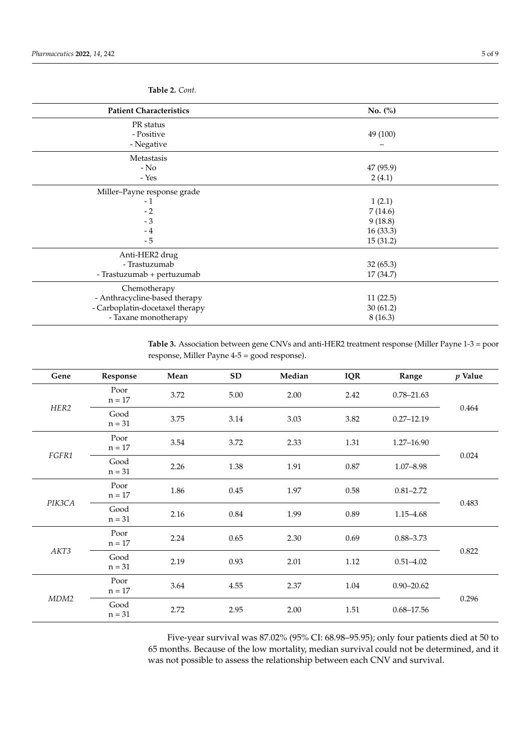| <b>Patient Characteristics</b>  | No. $(\%)$ |  |  |
|---------------------------------|------------|--|--|
| PR status                       |            |  |  |
| - Positive                      | 49 (100)   |  |  |
| - Negative                      |            |  |  |
| Metastasis                      |            |  |  |
| $-$ No                          | 47 (95.9)  |  |  |
| - Yes                           | 2(4.1)     |  |  |
| Miller-Payne response grade     |            |  |  |
| $-1$                            | 1(2.1)     |  |  |
| $-2$                            | 7(14.6)    |  |  |
| $-3$                            | 9(18.8)    |  |  |
| $-4$                            | 16(33.3)   |  |  |
| $-5$                            | 15(31.2)   |  |  |
| Anti-HER2 drug                  |            |  |  |
| - Trastuzumab                   | 32(65.3)   |  |  |
| - Trastuzumab + pertuzumab      | 17 (34.7)  |  |  |
| Chemotherapy                    |            |  |  |
| - Anthracycline-based therapy   | 11(22.5)   |  |  |
| - Carboplatin-docetaxel therapy | 30(61.2)   |  |  |
| - Taxane monotherapy            | 8(16.3)    |  |  |
|                                 |            |  |  |

**Table 2.** *Cont.*

<span id="page-4-0"></span>**Table 3.** Association between gene CNVs and anti-HER2 treatment response (Miller Payne 1-3 = poor response, Miller Payne 4-5 = good response).

| Gene   | Response         | Mean | <b>SD</b> | Median | <b>IQR</b> | Range          | $p$ Value |
|--------|------------------|------|-----------|--------|------------|----------------|-----------|
| HER2   | Poor<br>$n = 17$ | 3.72 | 5.00      | 2.00   | 2.42       | $0.78 - 21.63$ | 0.464     |
|        | Good<br>$n = 31$ | 3.75 | 3.14      | 3.03   | 3.82       | $0.27 - 12.19$ |           |
| FGFR1  | Poor<br>$n = 17$ | 3.54 | 3.72      | 2.33   | 1.31       | $1.27 - 16.90$ | 0.024     |
|        | Good<br>$n = 31$ | 2.26 | 1.38      | 1.91   | $0.87\,$   | $1.07 - 8.98$  |           |
| PIK3CA | Poor<br>$n = 17$ | 1.86 | 0.45      | 1.97   | 0.58       | $0.81 - 2.72$  | 0.483     |
|        | Good<br>$n = 31$ | 2.16 | 0.84      | 1.99   | 0.89       | $1.15 - 4.68$  |           |
| AKT3   | Poor<br>$n = 17$ | 2.24 | 0.65      | 2.30   | 0.69       | $0.88 - 3.73$  | 0.822     |
|        | Good<br>$n = 31$ | 2.19 | 0.93      | 2.01   | 1.12       | $0.51 - 4.02$  |           |
| MDM2   | Poor<br>$n = 17$ | 3.64 | 4.55      | 2.37   | 1.04       | $0.90 - 20.62$ | 0.296     |
|        | Good<br>$n = 31$ | 2.72 | 2.95      | 2.00   | 1.51       | $0.68 - 17.56$ |           |

Five-year survival was 87.02% (95% CI: 68.98–95.95); only four patients died at 50 to 65 months. Because of the low mortality, median survival could not be determined, and it was not possible to assess the relationship between each CNV and survival.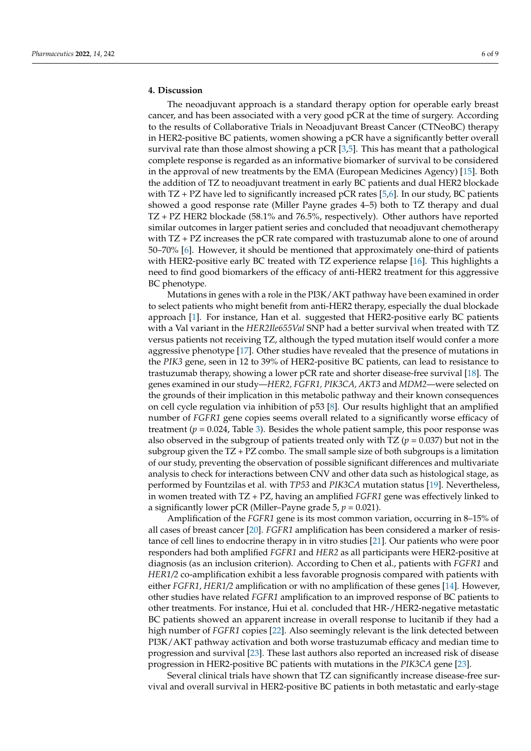## **4. Discussion**

The neoadjuvant approach is a standard therapy option for operable early breast cancer, and has been associated with a very good pCR at the time of surgery. According to the results of Collaborative Trials in Neoadjuvant Breast Cancer (CTNeoBC) therapy in HER2-positive BC patients, women showing a pCR have a significantly better overall survival rate than those almost showing a pCR [\[3,](#page-7-2)[5\]](#page-7-4). This has meant that a pathological complete response is regarded as an informative biomarker of survival to be considered in the approval of new treatments by the EMA (European Medicines Agency) [\[15\]](#page-7-14). Both the addition of TZ to neoadjuvant treatment in early BC patients and dual HER2 blockade with  $TZ$  + PZ have led to significantly increased pCR rates [\[5,](#page-7-4)[6\]](#page-7-5). In our study, BC patients showed a good response rate (Miller Payne grades 4–5) both to TZ therapy and dual TZ + PZ HER2 blockade (58.1% and 76.5%, respectively). Other authors have reported similar outcomes in larger patient series and concluded that neoadjuvant chemotherapy with TZ + PZ increases the pCR rate compared with trastuzumab alone to one of around 50–70% [\[6\]](#page-7-5). However, it should be mentioned that approximately one-third of patients with HER2-positive early BC treated with TZ experience relapse [\[16\]](#page-7-15). This highlights a need to find good biomarkers of the efficacy of anti-HER2 treatment for this aggressive BC phenotype.

Mutations in genes with a role in the PI3K/AKT pathway have been examined in order to select patients who might benefit from anti-HER2 therapy, especially the dual blockade approach [\[1\]](#page-7-0). For instance, Han et al. suggested that HER2-positive early BC patients with a Val variant in the *HER2Ile655Val* SNP had a better survival when treated with TZ versus patients not receiving TZ, although the typed mutation itself would confer a more aggressive phenotype [\[17\]](#page-7-16). Other studies have revealed that the presence of mutations in the *PIK3* gene, seen in 12 to 39% of HER2-positive BC patients, can lead to resistance to trastuzumab therapy, showing a lower pCR rate and shorter disease-free survival [\[18\]](#page-7-17). The genes examined in our study—*HER2, FGFR1, PIK3CA, AKT3* and *MDM2*—were selected on the grounds of their implication in this metabolic pathway and their known consequences on cell cycle regulation via inhibition of p53 [\[8\]](#page-7-7). Our results highlight that an amplified number of *FGFR1* gene copies seems overall related to a significantly worse efficacy of treatment ( $p = 0.024$ , Table [3\)](#page-4-0). Besides the whole patient sample, this poor response was also observed in the subgroup of patients treated only with  $TZ$  ( $p = 0.037$ ) but not in the subgroup given the TZ + PZ combo. The small sample size of both subgroups is a limitation of our study, preventing the observation of possible significant differences and multivariate analysis to check for interactions between CNV and other data such as histological stage, as performed by Fountzilas et al. with *TP53* and *PIK3CA* mutation status [\[19\]](#page-7-18). Nevertheless, in women treated with TZ + PZ, having an amplified *FGFR1* gene was effectively linked to a significantly lower pCR (Miller–Payne grade  $5, p = 0.021$ ).

Amplification of the *FGFR1* gene is its most common variation, occurring in 8–15% of all cases of breast cancer [\[20\]](#page-7-19). *FGFR1* amplification has been considered a marker of resistance of cell lines to endocrine therapy in in vitro studies [\[21\]](#page-7-20). Our patients who were poor responders had both amplified *FGFR1* and *HER2* as all participants were HER2-positive at diagnosis (as an inclusion criterion). According to Chen et al., patients with *FGFR1* and *HER1/2* co-amplification exhibit a less favorable prognosis compared with patients with either *FGFR1*, *HER1/2* amplification or with no amplification of these genes [\[14\]](#page-7-13). However, other studies have related *FGFR1* amplification to an improved response of BC patients to other treatments. For instance, Hui et al. concluded that HR-/HER2-negative metastatic BC patients showed an apparent increase in overall response to lucitanib if they had a high number of *FGFR1* copies [\[22\]](#page-7-21). Also seemingly relevant is the link detected between PI3K/AKT pathway activation and both worse trastuzumab efficacy and median time to progression and survival [\[23\]](#page-7-22). These last authors also reported an increased risk of disease progression in HER2-positive BC patients with mutations in the *PIK3CA* gene [\[23\]](#page-7-22).

Several clinical trials have shown that TZ can significantly increase disease-free survival and overall survival in HER2-positive BC patients in both metastatic and early-stage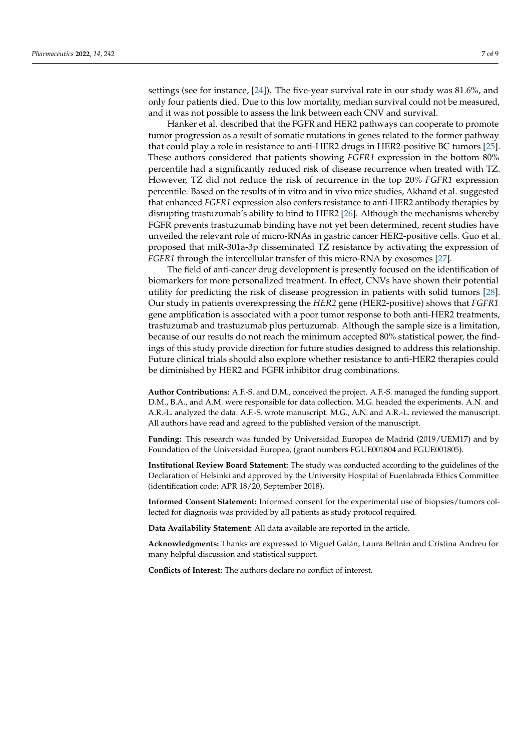settings (see for instance, [\[24\]](#page-8-0)). The five-year survival rate in our study was 81.6%, and only four patients died. Due to this low mortality, median survival could not be measured, and it was not possible to assess the link between each CNV and survival.

Hanker et al. described that the FGFR and HER2 pathways can cooperate to promote tumor progression as a result of somatic mutations in genes related to the former pathway that could play a role in resistance to anti-HER2 drugs in HER2-positive BC tumors [\[25\]](#page-8-1). These authors considered that patients showing *FGFR1* expression in the bottom 80% percentile had a significantly reduced risk of disease recurrence when treated with TZ. However, TZ did not reduce the risk of recurrence in the top 20% *FGFR1* expression percentile. Based on the results of in vitro and in vivo mice studies, Akhand et al. suggested that enhanced *FGFR1* expression also confers resistance to anti-HER2 antibody therapies by disrupting trastuzumab's ability to bind to HER2 [\[26\]](#page-8-2). Although the mechanisms whereby FGFR prevents trastuzumab binding have not yet been determined, recent studies have unveiled the relevant role of micro-RNAs in gastric cancer HER2-positive cells. Guo et al. proposed that miR-301a-3p disseminated TZ resistance by activating the expression of *FGFR1* through the intercellular transfer of this micro-RNA by exosomes [\[27\]](#page-8-3).

The field of anti-cancer drug development is presently focused on the identification of biomarkers for more personalized treatment. In effect, CNVs have shown their potential utility for predicting the risk of disease progression in patients with solid tumors [\[28\]](#page-8-4). Our study in patients overexpressing the *HER2* gene (HER2-positive) shows that *FGFR1* gene amplification is associated with a poor tumor response to both anti-HER2 treatments, trastuzumab and trastuzumab plus pertuzumab. Although the sample size is a limitation, because of our results do not reach the minimum accepted 80% statistical power, the findings of this study provide direction for future studies designed to address this relationship. Future clinical trials should also explore whether resistance to anti-HER2 therapies could be diminished by HER2 and FGFR inhibitor drug combinations.

**Author Contributions:** A.F.-S. and D.M., conceived the project. A.F.-S. managed the funding support. D.M., B.A., and A.M. were responsible for data collection. M.G. headed the experiments. A.N. and A.R.-L. analyzed the data. A.F.-S. wrote manuscript. M.G., A.N. and A.R.-L. reviewed the manuscript. All authors have read and agreed to the published version of the manuscript.

**Funding:** This research was funded by Universidad Europea de Madrid (2019/UEM17) and by Foundation of the Universidad Europea, (grant numbers FGUE001804 and FGUE001805).

**Institutional Review Board Statement:** The study was conducted according to the guidelines of the Declaration of Helsinki and approved by the University Hospital of Fuenlabrada Ethics Committee (identification code: APR 18/20, September 2018).

**Informed Consent Statement:** Informed consent for the experimental use of biopsies/tumors collected for diagnosis was provided by all patients as study protocol required.

**Data Availability Statement:** All data available are reported in the article.

**Acknowledgments:** Thanks are expressed to Miguel Galán, Laura Beltrán and Cristina Andreu for many helpful discussion and statistical support.

**Conflicts of Interest:** The authors declare no conflict of interest.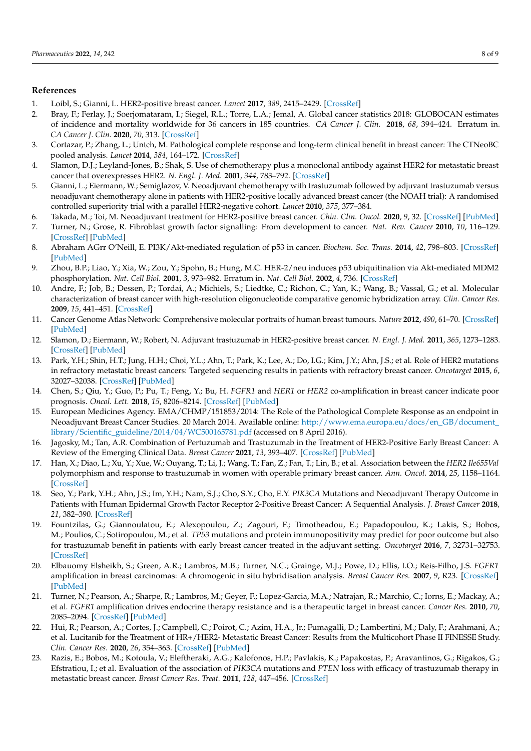# **References**

- <span id="page-7-0"></span>1. Loibl, S.; Gianni, L. HER2-positive breast cancer. *Lancet* **2017**, *389*, 2415–2429. [\[CrossRef\]](http://doi.org/10.1016/S0140-6736(16)32417-5)
- <span id="page-7-1"></span>2. Bray, F.; Ferlay, J.; Soerjomataram, I.; Siegel, R.L.; Torre, L.A.; Jemal, A. Global cancer statistics 2018: GLOBOCAN estimates of incidence and mortality worldwide for 36 cancers in 185 countries. *CA Cancer J. Clin.* **2018**, *68*, 394–424. Erratum in. *CA Cancer J. Clin.* **2020**, *70*, 313. [\[CrossRef\]](http://doi.org/10.3322/caac.21492)
- <span id="page-7-2"></span>3. Cortazar, P.; Zhang, L.; Untch, M. Pathological complete response and long-term clinical benefit in breast cancer: The CTNeoBC pooled analysis. *Lancet* **2014**, *384*, 164–172. [\[CrossRef\]](http://doi.org/10.1016/S0140-6736(13)62422-8)
- <span id="page-7-3"></span>4. Slamon, D.J.; Leyland-Jones, B.; Shak, S. Use of chemotherapy plus a monoclonal antibody against HER2 for metastatic breast cancer that overexpresses HER2. *N. Engl. J. Med.* **2001**, *344*, 783–792. [\[CrossRef\]](http://doi.org/10.1056/NEJM200103153441101)
- <span id="page-7-4"></span>5. Gianni, L.; Eiermann, W.; Semiglazov, V. Neoadjuvant chemotherapy with trastuzumab followed by adjuvant trastuzumab versus neoadjuvant chemotherapy alone in patients with HER2-positive locally advanced breast cancer (the NOAH trial): A randomised controlled superiority trial with a parallel HER2-negative cohort. *Lancet* **2010**, *375*, 377–384.
- <span id="page-7-5"></span>6. Takada, M.; Toi, M. Neoadjuvant treatment for HER2-positive breast cancer. *Chin. Clin. Oncol.* **2020**, *9*, 32. [\[CrossRef\]](http://doi.org/10.21037/cco-20-123) [\[PubMed\]](http://www.ncbi.nlm.nih.gov/pubmed/32527117)
- <span id="page-7-6"></span>7. Turner, N.; Grose, R. Fibroblast growth factor signalling: From development to cancer. *Nat. Rev. Cancer* **2010**, *10*, 116–129. [\[CrossRef\]](http://doi.org/10.1038/nrc2780) [\[PubMed\]](http://www.ncbi.nlm.nih.gov/pubmed/20094046)
- <span id="page-7-7"></span>8. Abraham AGrr O'Neill, E. PI3K/Akt-mediated regulation of p53 in cancer. *Biochem. Soc. Trans.* **2014**, *42*, 798–803. [\[CrossRef\]](http://doi.org/10.1042/BST20140070) [\[PubMed\]](http://www.ncbi.nlm.nih.gov/pubmed/25109960)
- <span id="page-7-8"></span>9. Zhou, B.P.; Liao, Y.; Xia, W.; Zou, Y.; Spohn, B.; Hung, M.C. HER-2/neu induces p53 ubiquitination via Akt-mediated MDM2 phosphorylation. *Nat. Cell Biol.* **2001**, *3*, 973–982. Erratum in. *Nat. Cell Biol.* **2002**, *4*, 736. [\[CrossRef\]](http://doi.org/10.1038/ncb1101-973)
- <span id="page-7-9"></span>10. Andre, F.; Job, B.; Dessen, P.; Tordai, A.; Michiels, S.; Liedtke, C.; Richon, C.; Yan, K.; Wang, B.; Vassal, G.; et al. Molecular characterization of breast cancer with high-resolution oligonucleotide comparative genomic hybridization array. *Clin. Cancer Res.* **2009**, *15*, 441–451. [\[CrossRef\]](http://doi.org/10.1158/1078-0432.CCR-08-1791)
- <span id="page-7-10"></span>11. Cancer Genome Atlas Network: Comprehensive molecular portraits of human breast tumours. *Nature* **2012**, *490*, 61–70. [\[CrossRef\]](http://doi.org/10.1038/nature11412) [\[PubMed\]](http://www.ncbi.nlm.nih.gov/pubmed/23000897)
- <span id="page-7-11"></span>12. Slamon, D.; Eiermann, W.; Robert, N. Adjuvant trastuzumab in HER2-positive breast cancer. *N. Engl. J. Med.* **2011**, *365*, 1273–1283. [\[CrossRef\]](http://doi.org/10.1056/NEJMoa0910383) [\[PubMed\]](http://www.ncbi.nlm.nih.gov/pubmed/21991949)
- <span id="page-7-12"></span>13. Park, Y.H.; Shin, H.T.; Jung, H.H.; Choi, Y.L.; Ahn, T.; Park, K.; Lee, A.; Do, I.G.; Kim, J.Y.; Ahn, J.S.; et al. Role of HER2 mutations in refractory metastatic breast cancers: Targeted sequencing results in patients with refractory breast cancer. *Oncotarget* **2015**, *6*, 32027–32038. [\[CrossRef\]](http://doi.org/10.18632/oncotarget.5184) [\[PubMed\]](http://www.ncbi.nlm.nih.gov/pubmed/26397225)
- <span id="page-7-13"></span>14. Chen, S.; Qiu, Y.; Guo, P.; Pu, T.; Feng, Y.; Bu, H. *FGFR1* and *HER1* or *HER2* co-amplification in breast cancer indicate poor prognosis. *Oncol. Lett.* **2018**, *15*, 8206–8214. [\[CrossRef\]](http://doi.org/10.3892/ol.2018.8423) [\[PubMed\]](http://www.ncbi.nlm.nih.gov/pubmed/29805554)
- <span id="page-7-14"></span>15. European Medicines Agency. EMA/CHMP/151853/2014: The Role of the Pathological Complete Response as an endpoint in Neoadjuvant Breast Cancer Studies. 20 March 2014. Available online: [http://www.ema.europa.eu/docs/en\\_GB/document\\_](http://www.ema.europa.eu/docs/en_GB/document_library/Scientific_guideline/2014/04/WC500165781.pdf) [library/Scientific\\_guideline/2014/04/WC500165781.pdf](http://www.ema.europa.eu/docs/en_GB/document_library/Scientific_guideline/2014/04/WC500165781.pdf) (accessed on 8 April 2016).
- <span id="page-7-15"></span>16. Jagosky, M.; Tan, A.R. Combination of Pertuzumab and Trastuzumab in the Treatment of HER2-Positive Early Breast Cancer: A Review of the Emerging Clinical Data. *Breast Cancer* **2021**, *13*, 393–407. [\[CrossRef\]](http://doi.org/10.2147/BCTT.S176514) [\[PubMed\]](http://www.ncbi.nlm.nih.gov/pubmed/34163239)
- <span id="page-7-16"></span>17. Han, X.; Diao, L.; Xu, Y.; Xue, W.; Ouyang, T.; Li, J.; Wang, T.; Fan, Z.; Fan, T.; Lin, B.; et al. Association between the *HER2 Ile655Val* polymorphism and response to trastuzumab in women with operable primary breast cancer. *Ann. Oncol.* **2014**, *25*, 1158–1164. [\[CrossRef\]](http://doi.org/10.1093/annonc/mdu111)
- <span id="page-7-17"></span>18. Seo, Y.; Park, Y.H.; Ahn, J.S.; Im, Y.H.; Nam, S.J.; Cho, S.Y.; Cho, E.Y. *PIK3CA* Mutations and Neoadjuvant Therapy Outcome in Patients with Human Epidermal Growth Factor Receptor 2-Positive Breast Cancer: A Sequential Analysis. *J. Breast Cancer* **2018**, *21*, 382–390. [\[CrossRef\]](http://doi.org/10.4048/jbc.2018.21.e48)
- <span id="page-7-18"></span>19. Fountzilas, G.; Giannoulatou, E.; Alexopoulou, Z.; Zagouri, F.; Timotheadou, E.; Papadopoulou, K.; Lakis, S.; Bobos, M.; Poulios, C.; Sotiropoulou, M.; et al. *TP53* mutations and protein immunopositivity may predict for poor outcome but also for trastuzumab benefit in patients with early breast cancer treated in the adjuvant setting. *Oncotarget* **2016**, *7*, 32731–32753. [\[CrossRef\]](http://doi.org/10.18632/oncotarget.9022)
- <span id="page-7-19"></span>20. Elbauomy Elsheikh, S.; Green, A.R.; Lambros, M.B.; Turner, N.C.; Grainge, M.J.; Powe, D.; Ellis, I.O.; Reis-Filho, J.S. *FGFR1* amplification in breast carcinomas: A chromogenic in situ hybridisation analysis. *Breast Cancer Res.* **2007**, *9*, R23. [\[CrossRef\]](http://doi.org/10.1186/bcr1665) [\[PubMed\]](http://www.ncbi.nlm.nih.gov/pubmed/17397528)
- <span id="page-7-20"></span>21. Turner, N.; Pearson, A.; Sharpe, R.; Lambros, M.; Geyer, F.; Lopez-Garcia, M.A.; Natrajan, R.; Marchio, C.; Iorns, E.; Mackay, A.; et al. *FGFR1* amplification drives endocrine therapy resistance and is a therapeutic target in breast cancer. *Cancer Res.* **2010**, *70*, 2085–2094. [\[CrossRef\]](http://doi.org/10.1158/0008-5472.CAN-09-3746) [\[PubMed\]](http://www.ncbi.nlm.nih.gov/pubmed/20179196)
- <span id="page-7-21"></span>22. Hui, R.; Pearson, A.; Cortes, J.; Campbell, C.; Poirot, C.; Azim, H.A., Jr.; Fumagalli, D.; Lambertini, M.; Daly, F.; Arahmani, A.; et al. Lucitanib for the Treatment of HR+/HER2- Metastatic Breast Cancer: Results from the Multicohort Phase II FINESSE Study. *Clin. Cancer Res.* **2020**, *26*, 354–363. [\[CrossRef\]](http://doi.org/10.1158/1078-0432.CCR-19-1164) [\[PubMed\]](http://www.ncbi.nlm.nih.gov/pubmed/31619444)
- <span id="page-7-22"></span>23. Razis, E.; Bobos, M.; Kotoula, V.; Eleftheraki, A.G.; Kalofonos, H.P.; Pavlakis, K.; Papakostas, P.; Aravantinos, G.; Rigakos, G.; Efstratiou, I.; et al. Evaluation of the association of *PIK3CA* mutations and *PTEN* loss with efficacy of trastuzumab therapy in metastatic breast cancer. *Breast Cancer Res. Treat.* **2011**, *128*, 447–456. [\[CrossRef\]](http://doi.org/10.1007/s10549-011-1572-5)